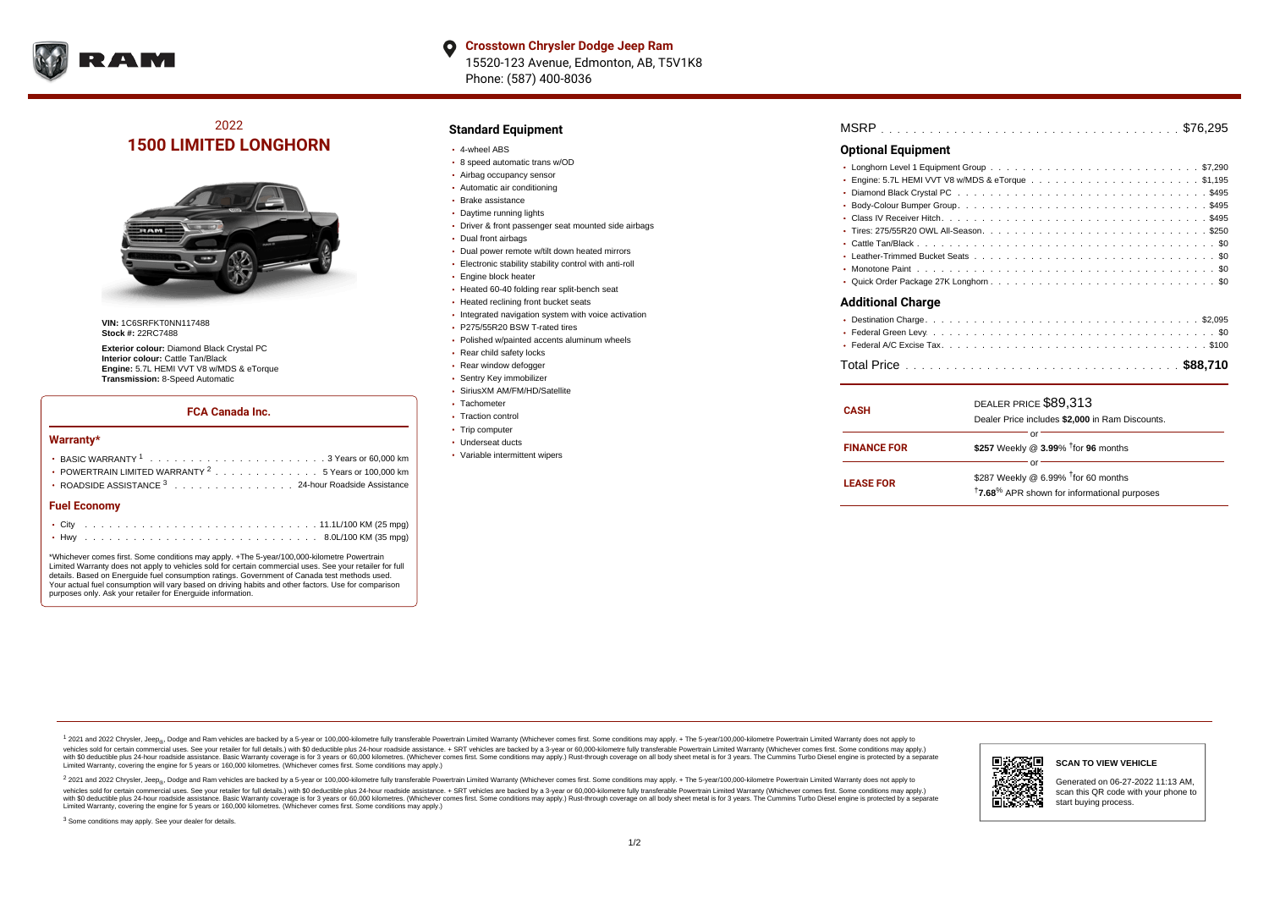

# 2022 **1500 LIMITED LONGHORN**



**VIN:** 1C6SRFKT0NN117488 **Stock #:** 22RC7488

**Exterior colour:** Diamond Black Crystal PC **Interior colour:** Cattle Tan/Black **Engine:** 5.7L HEMI VVT V8 w/MDS & eTorque **Transmission:** 8-Speed Automatic

### **FCA Canada Inc.**

#### **Warranty\***

| <b>Fuel Economy</b>                                              |  |  |  |
|------------------------------------------------------------------|--|--|--|
| ROADSIDE ASSISTANCE <sup>3</sup> 24-hour Roadside Assistance     |  |  |  |
| • POWERTRAIN LIMITED WARRANTY <sup>2</sup> 5 Years or 100,000 km |  |  |  |
|                                                                  |  |  |  |
|                                                                  |  |  |  |

\*Whichever comes first. Some conditions may apply. +The 5-year/100,000-kilometre Powertrain Limited Warranty does not apply to vehicles sold for certain commercial uses. See your retailer for full details. Based on Energuide fuel consumption ratings. Government of Canada test methods used. Your actual fuel consumption will vary based on driving habits and other factors. Use for comparison purposes only. Ask your retailer for Energuide information.

#### **Standard Equipment**

- 4-wheel ABS
- 8 speed automatic trans w/OD
- Airbag occupancy sensor
- Automatic air conditioning
- Brake assistance
- Daytime running lights
- Driver & front passenger seat mounted side airbags
- Dual front airbags
- Dual power remote w/tilt down heated mirrors
- Electronic stability stability control with anti-roll
- **Engine block heater**
- Heated 60-40 folding rear split-bench seat
- Heated reclining front bucket seats
- Integrated navigation system with voice activation
- P275/55R20 BSW T-rated tires
- Polished w/painted accents aluminum wheels
- Rear child safety locks
- Rear window defogger
- Sentry Key immobilizer
- SiriusXM AM/FM/HD/Satellite
- Tachometer
- Traction control
- Trip computer
- Underseat ducts
- Variable intermittent wipers

| MSRP |  |  |  |  |  |  |  |  |  |  |  |  |  |  |  |  |  |  |  |  |  |  |  |  |  |  |  |  |  |  |  |  |  |  |  |  |  |  |  |  |  |  |  |  |  |  |  |  |  |
|------|--|--|--|--|--|--|--|--|--|--|--|--|--|--|--|--|--|--|--|--|--|--|--|--|--|--|--|--|--|--|--|--|--|--|--|--|--|--|--|--|--|--|--|--|--|--|--|--|--|
|------|--|--|--|--|--|--|--|--|--|--|--|--|--|--|--|--|--|--|--|--|--|--|--|--|--|--|--|--|--|--|--|--|--|--|--|--|--|--|--|--|--|--|--|--|--|--|--|--|--|

## **Optional Equipment**

| Additional Charge |
|-------------------|

| <b>CASH</b>        | DEALER PRICE \$89,313<br>Dealer Price includes \$2,000 in Ram Discounts.                                                     |
|--------------------|------------------------------------------------------------------------------------------------------------------------------|
| <b>FINANCE FOR</b> | Ωľ<br>\$257 Weekly @ $3.99\%$ <sup>†</sup> for 96 months                                                                     |
| <b>LEASE FOR</b>   | or<br>\$287 Weekly @ 6.99% <sup>t</sup> for 60 months<br><sup>†</sup> 7.68 <sup>%</sup> APR shown for informational purposes |

<sup>1</sup> 2021 and 2022 Chrysler, Jeep<sub>®</sub>, Dodge and Ram vehicles are backed by a 5-year or 100,000-kilometre fully transferable Powertrain Limited Warranty (Whichever comes first. Some conditions may apply. + The 5-year/100,000 vehicles sold for certain commercial uses. See your retailer for full details.) with \$0 deductible plus 24 hour roadside assistance. + SRT vehicles are backed by a 3-year or 60,000-kilometre fully transferable Powertrain L versus and contract the mean of the contract of the contract with a contract with a contract the contract of the contract of the contract the contract of the contract of the contract of the contract of the contract of the Limited Warranty, covering the engine for 5 years or 160,000 kilometres. (Whichever comes first. Some conditions may apply.)

2 2021 and 2022 Chrysler, Jeep<sub>®</sub>, Dodge and Ram vehicles are backed by a 5-year or 100,000-kilometre fully transferable Powertrain Limited Warranty (Whichever comes first. Some conditions may apply. + The 5-year/100,000-k vehicles sold for certain commercial uses. See your retailer for full details.) with SO deductible plus 24-hour roadside assistance. + SRT vehicles are backed by a 3-year or 60.000-kilometre fully transferable Powertrain L with S0 deductible plus 24-hour roadside assistance. Basic Warranty coverage is for 3 years or 60,000 kilometres. (Whichever comes first. Some conditions may apply.) Rust-through coverage on all body sheet metal is for 3 y



#### **SCAN TO VIEW VEHICLE**

Generated on 06-27-2022 11:13 AM, scan this QR code with your phone to start buying process.

<sup>3</sup> Some conditions may apply. See your dealer for details.